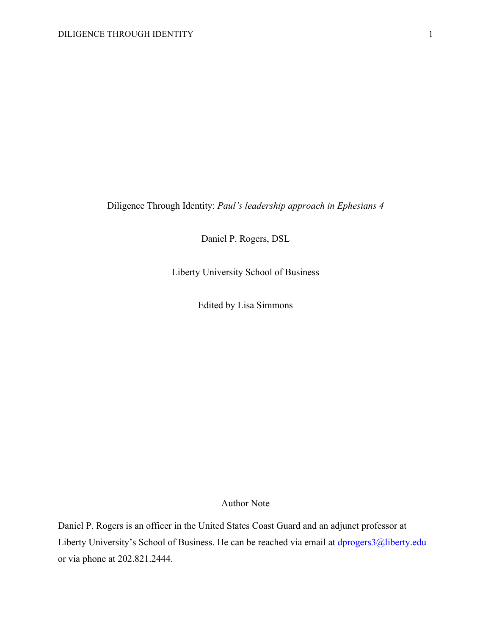Diligence Through Identity: *Paul's leadership approach in Ephesians 4*

Daniel P. Rogers, DSL

Liberty University School of Business

Edited by Lisa Simmons

# Author Note

Daniel P. Rogers is an officer in the United States Coast Guard and an adjunct professor at Liberty University's School of Business. He can be reached via email at dprogers3@liberty.edu or via phone at 202.821.2444.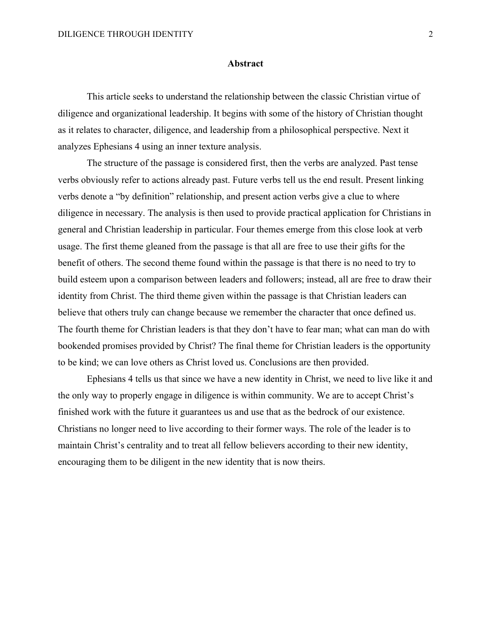### **Abstract**

This article seeks to understand the relationship between the classic Christian virtue of diligence and organizational leadership. It begins with some of the history of Christian thought as it relates to character, diligence, and leadership from a philosophical perspective. Next it analyzes Ephesians 4 using an inner texture analysis.

The structure of the passage is considered first, then the verbs are analyzed. Past tense verbs obviously refer to actions already past. Future verbs tell us the end result. Present linking verbs denote a "by definition" relationship, and present action verbs give a clue to where diligence in necessary. The analysis is then used to provide practical application for Christians in general and Christian leadership in particular. Four themes emerge from this close look at verb usage. The first theme gleaned from the passage is that all are free to use their gifts for the benefit of others. The second theme found within the passage is that there is no need to try to build esteem upon a comparison between leaders and followers; instead, all are free to draw their identity from Christ. The third theme given within the passage is that Christian leaders can believe that others truly can change because we remember the character that once defined us. The fourth theme for Christian leaders is that they don't have to fear man; what can man do with bookended promises provided by Christ? The final theme for Christian leaders is the opportunity to be kind; we can love others as Christ loved us. Conclusions are then provided.

Ephesians 4 tells us that since we have a new identity in Christ, we need to live like it and the only way to properly engage in diligence is within community. We are to accept Christ's finished work with the future it guarantees us and use that as the bedrock of our existence. Christians no longer need to live according to their former ways. The role of the leader is to maintain Christ's centrality and to treat all fellow believers according to their new identity, encouraging them to be diligent in the new identity that is now theirs.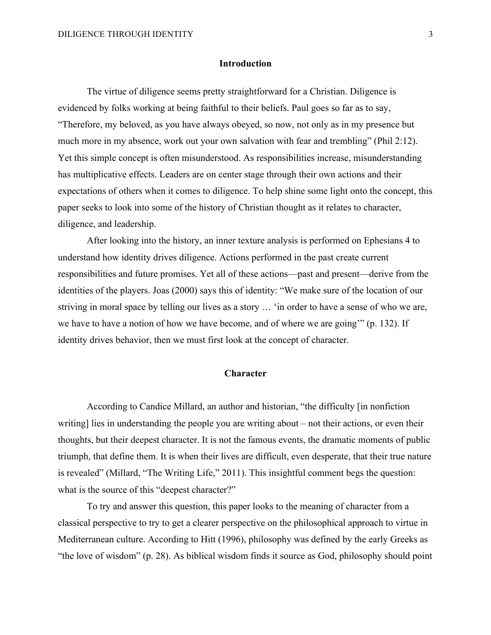#### **Introduction**

The virtue of diligence seems pretty straightforward for a Christian. Diligence is evidenced by folks working at being faithful to their beliefs. Paul goes so far as to say, "Therefore, my beloved, as you have always obeyed, so now, not only as in my presence but much more in my absence, work out your own salvation with fear and trembling" (Phil 2:12). Yet this simple concept is often misunderstood. As responsibilities increase, misunderstanding has multiplicative effects. Leaders are on center stage through their own actions and their expectations of others when it comes to diligence. To help shine some light onto the concept, this paper seeks to look into some of the history of Christian thought as it relates to character, diligence, and leadership.

After looking into the history, an inner texture analysis is performed on Ephesians 4 to understand how identity drives diligence. Actions performed in the past create current responsibilities and future promises. Yet all of these actions—past and present—derive from the identities of the players. Joas (2000) says this of identity: "We make sure of the location of our striving in moral space by telling our lives as a story … 'in order to have a sense of who we are, we have to have a notion of how we have become, and of where we are going'" (p. 132). If identity drives behavior, then we must first look at the concept of character.

### **Character**

According to Candice Millard, an author and historian, "the difficulty [in nonfiction writing] lies in understanding the people you are writing about – not their actions, or even their thoughts, but their deepest character. It is not the famous events, the dramatic moments of public triumph, that define them. It is when their lives are difficult, even desperate, that their true nature is revealed" (Millard, "The Writing Life," 2011). This insightful comment begs the question: what is the source of this "deepest character?"

To try and answer this question, this paper looks to the meaning of character from a classical perspective to try to get a clearer perspective on the philosophical approach to virtue in Mediterranean culture. According to Hitt (1996), philosophy was defined by the early Greeks as "the love of wisdom" (p. 28). As biblical wisdom finds it source as God, philosophy should point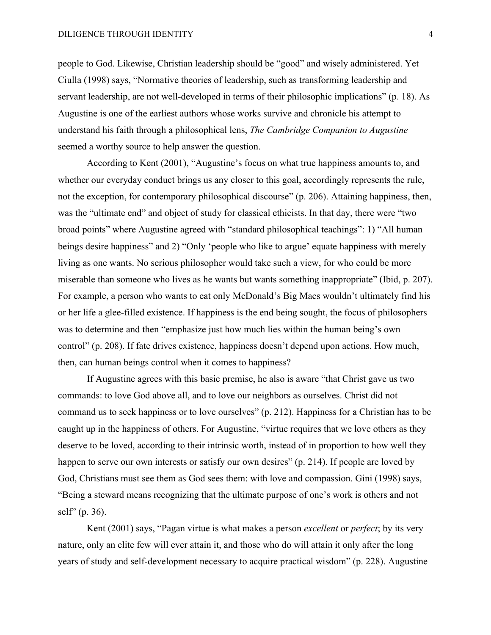people to God. Likewise, Christian leadership should be "good" and wisely administered. Yet Ciulla (1998) says, "Normative theories of leadership, such as transforming leadership and servant leadership, are not well-developed in terms of their philosophic implications" (p. 18). As Augustine is one of the earliest authors whose works survive and chronicle his attempt to understand his faith through a philosophical lens, *The Cambridge Companion to Augustine* seemed a worthy source to help answer the question.

According to Kent (2001), "Augustine's focus on what true happiness amounts to, and whether our everyday conduct brings us any closer to this goal, accordingly represents the rule, not the exception, for contemporary philosophical discourse" (p. 206). Attaining happiness, then, was the "ultimate end" and object of study for classical ethicists. In that day, there were "two broad points" where Augustine agreed with "standard philosophical teachings": 1) "All human beings desire happiness" and 2) "Only 'people who like to argue' equate happiness with merely living as one wants. No serious philosopher would take such a view, for who could be more miserable than someone who lives as he wants but wants something inappropriate" (Ibid, p. 207). For example, a person who wants to eat only McDonald's Big Macs wouldn't ultimately find his or her life a glee-filled existence. If happiness is the end being sought, the focus of philosophers was to determine and then "emphasize just how much lies within the human being's own control" (p. 208). If fate drives existence, happiness doesn't depend upon actions. How much, then, can human beings control when it comes to happiness?

If Augustine agrees with this basic premise, he also is aware "that Christ gave us two commands: to love God above all, and to love our neighbors as ourselves. Christ did not command us to seek happiness or to love ourselves" (p. 212). Happiness for a Christian has to be caught up in the happiness of others. For Augustine, "virtue requires that we love others as they deserve to be loved, according to their intrinsic worth, instead of in proportion to how well they happen to serve our own interests or satisfy our own desires" (p. 214). If people are loved by God, Christians must see them as God sees them: with love and compassion. Gini (1998) says, "Being a steward means recognizing that the ultimate purpose of one's work is others and not self" (p. 36).

Kent (2001) says, "Pagan virtue is what makes a person *excellent* or *perfect*; by its very nature, only an elite few will ever attain it, and those who do will attain it only after the long years of study and self-development necessary to acquire practical wisdom" (p. 228). Augustine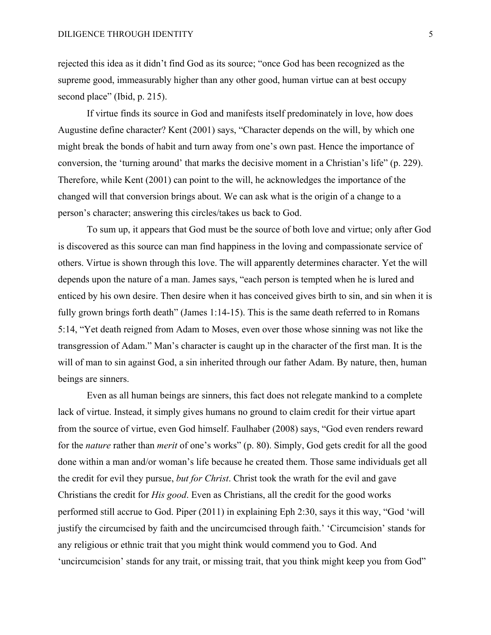rejected this idea as it didn't find God as its source; "once God has been recognized as the supreme good, immeasurably higher than any other good, human virtue can at best occupy second place" (Ibid, p. 215).

If virtue finds its source in God and manifests itself predominately in love, how does Augustine define character? Kent (2001) says, "Character depends on the will, by which one might break the bonds of habit and turn away from one's own past. Hence the importance of conversion, the 'turning around' that marks the decisive moment in a Christian's life" (p. 229). Therefore, while Kent (2001) can point to the will, he acknowledges the importance of the changed will that conversion brings about. We can ask what is the origin of a change to a person's character; answering this circles/takes us back to God.

To sum up, it appears that God must be the source of both love and virtue; only after God is discovered as this source can man find happiness in the loving and compassionate service of others. Virtue is shown through this love. The will apparently determines character. Yet the will depends upon the nature of a man. James says, "each person is tempted when he is lured and enticed by his own desire. Then desire when it has conceived gives birth to sin, and sin when it is fully grown brings forth death" (James 1:14-15). This is the same death referred to in Romans 5:14, "Yet death reigned from Adam to Moses, even over those whose sinning was not like the transgression of Adam." Man's character is caught up in the character of the first man. It is the will of man to sin against God, a sin inherited through our father Adam. By nature, then, human beings are sinners.

Even as all human beings are sinners, this fact does not relegate mankind to a complete lack of virtue. Instead, it simply gives humans no ground to claim credit for their virtue apart from the source of virtue, even God himself. Faulhaber (2008) says, "God even renders reward for the *nature* rather than *merit* of one's works" (p. 80). Simply, God gets credit for all the good done within a man and/or woman's life because he created them. Those same individuals get all the credit for evil they pursue, *but for Christ*. Christ took the wrath for the evil and gave Christians the credit for *His good*. Even as Christians, all the credit for the good works performed still accrue to God. Piper (2011) in explaining Eph 2:30, says it this way, "God 'will justify the circumcised by faith and the uncircumcised through faith.' 'Circumcision' stands for any religious or ethnic trait that you might think would commend you to God. And 'uncircumcision' stands for any trait, or missing trait, that you think might keep you from God"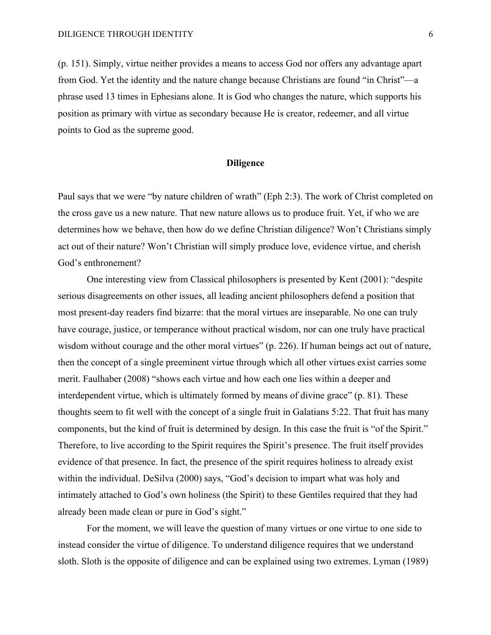(p. 151). Simply, virtue neither provides a means to access God nor offers any advantage apart from God. Yet the identity and the nature change because Christians are found "in Christ"—a phrase used 13 times in Ephesians alone. It is God who changes the nature, which supports his position as primary with virtue as secondary because He is creator, redeemer, and all virtue points to God as the supreme good.

### **Diligence**

Paul says that we were "by nature children of wrath" (Eph 2:3). The work of Christ completed on the cross gave us a new nature. That new nature allows us to produce fruit. Yet, if who we are determines how we behave, then how do we define Christian diligence? Won't Christians simply act out of their nature? Won't Christian will simply produce love, evidence virtue, and cherish God's enthronement?

One interesting view from Classical philosophers is presented by Kent (2001): "despite serious disagreements on other issues, all leading ancient philosophers defend a position that most present-day readers find bizarre: that the moral virtues are inseparable. No one can truly have courage, justice, or temperance without practical wisdom, nor can one truly have practical wisdom without courage and the other moral virtues" (p. 226). If human beings act out of nature, then the concept of a single preeminent virtue through which all other virtues exist carries some merit. Faulhaber (2008) "shows each virtue and how each one lies within a deeper and interdependent virtue, which is ultimately formed by means of divine grace" (p. 81). These thoughts seem to fit well with the concept of a single fruit in Galatians 5:22. That fruit has many components, but the kind of fruit is determined by design. In this case the fruit is "of the Spirit." Therefore, to live according to the Spirit requires the Spirit's presence. The fruit itself provides evidence of that presence. In fact, the presence of the spirit requires holiness to already exist within the individual. DeSilva (2000) says, "God's decision to impart what was holy and intimately attached to God's own holiness (the Spirit) to these Gentiles required that they had already been made clean or pure in God's sight."

For the moment, we will leave the question of many virtues or one virtue to one side to instead consider the virtue of diligence. To understand diligence requires that we understand sloth. Sloth is the opposite of diligence and can be explained using two extremes. Lyman (1989)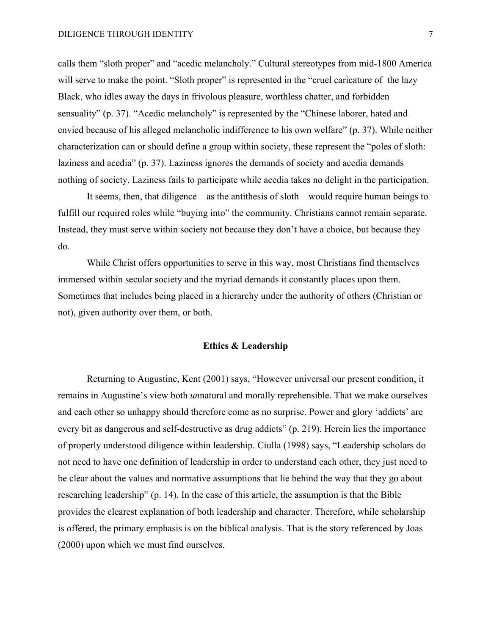calls them "sloth proper" and "acedic melancholy." Cultural stereotypes from mid-1800 America will serve to make the point. "Sloth proper" is represented in the "cruel caricature of the lazy Black, who idles away the days in frivolous pleasure, worthless chatter, and forbidden sensuality" (p. 37). "Acedic melancholy" is represented by the "Chinese laborer, hated and envied because of his alleged melancholic indifference to his own welfare" (p. 37). While neither characterization can or should define a group within society, these represent the "poles of sloth: laziness and acedia" (p. 37). Laziness ignores the demands of society and acedia demands nothing of society. Laziness fails to participate while acedia takes no delight in the participation.

It seems, then, that diligence—as the antithesis of sloth—would require human beings to fulfill our required roles while "buying into" the community. Christians cannot remain separate. Instead, they must serve within society not because they don't have a choice, but because they do.

While Christ offers opportunities to serve in this way, most Christians find themselves immersed within secular society and the myriad demands it constantly places upon them. Sometimes that includes being placed in a hierarchy under the authority of others (Christian or not), given authority over them, or both.

# **Ethics & Leadership**

Returning to Augustine, Kent (2001) says, "However universal our present condition, it remains in Augustine's view both *un*natural and morally reprehensible. That we make ourselves and each other so unhappy should therefore come as no surprise. Power and glory 'addicts' are every bit as dangerous and self-destructive as drug addicts" (p. 219). Herein lies the importance of properly understood diligence within leadership. Ciulla (1998) says, "Leadership scholars do not need to have one definition of leadership in order to understand each other, they just need to be clear about the values and normative assumptions that lie behind the way that they go about researching leadership" (p. 14). In the case of this article, the assumption is that the Bible provides the clearest explanation of both leadership and character. Therefore, while scholarship is offered, the primary emphasis is on the biblical analysis. That is the story referenced by Joas (2000) upon which we must find ourselves.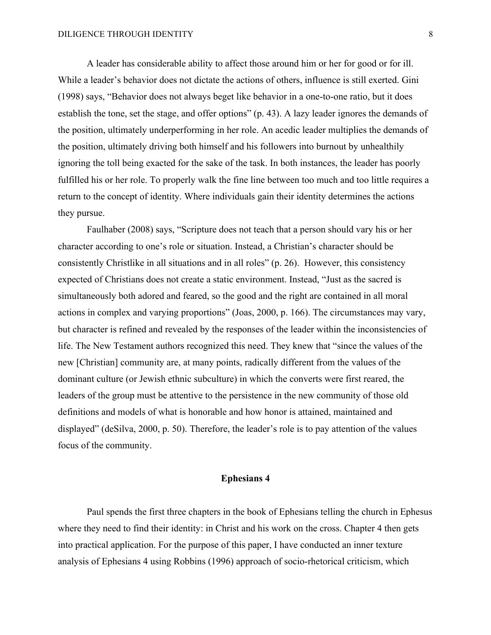A leader has considerable ability to affect those around him or her for good or for ill. While a leader's behavior does not dictate the actions of others, influence is still exerted. Gini (1998) says, "Behavior does not always beget like behavior in a one-to-one ratio, but it does establish the tone, set the stage, and offer options" (p. 43). A lazy leader ignores the demands of the position, ultimately underperforming in her role. An acedic leader multiplies the demands of the position, ultimately driving both himself and his followers into burnout by unhealthily ignoring the toll being exacted for the sake of the task. In both instances, the leader has poorly fulfilled his or her role. To properly walk the fine line between too much and too little requires a return to the concept of identity. Where individuals gain their identity determines the actions they pursue.

Faulhaber (2008) says, "Scripture does not teach that a person should vary his or her character according to one's role or situation. Instead, a Christian's character should be consistently Christlike in all situations and in all roles" (p. 26). However, this consistency expected of Christians does not create a static environment. Instead, "Just as the sacred is simultaneously both adored and feared, so the good and the right are contained in all moral actions in complex and varying proportions" (Joas, 2000, p. 166). The circumstances may vary, but character is refined and revealed by the responses of the leader within the inconsistencies of life. The New Testament authors recognized this need. They knew that "since the values of the new [Christian] community are, at many points, radically different from the values of the dominant culture (or Jewish ethnic subculture) in which the converts were first reared, the leaders of the group must be attentive to the persistence in the new community of those old definitions and models of what is honorable and how honor is attained, maintained and displayed" (deSilva, 2000, p. 50). Therefore, the leader's role is to pay attention of the values focus of the community.

# **Ephesians 4**

Paul spends the first three chapters in the book of Ephesians telling the church in Ephesus where they need to find their identity: in Christ and his work on the cross. Chapter 4 then gets into practical application. For the purpose of this paper, I have conducted an inner texture analysis of Ephesians 4 using Robbins (1996) approach of socio-rhetorical criticism, which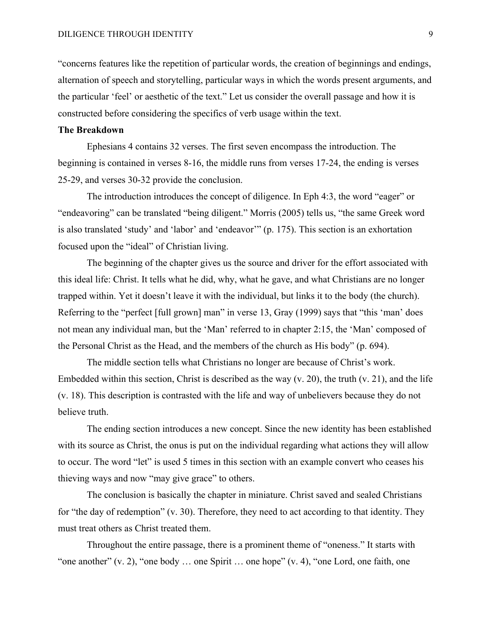"concerns features like the repetition of particular words, the creation of beginnings and endings, alternation of speech and storytelling, particular ways in which the words present arguments, and the particular 'feel' or aesthetic of the text." Let us consider the overall passage and how it is constructed before considering the specifics of verb usage within the text.

## **The Breakdown**

Ephesians 4 contains 32 verses. The first seven encompass the introduction. The beginning is contained in verses 8-16, the middle runs from verses 17-24, the ending is verses 25-29, and verses 30-32 provide the conclusion.

The introduction introduces the concept of diligence. In Eph 4:3, the word "eager" or "endeavoring" can be translated "being diligent." Morris (2005) tells us, "the same Greek word is also translated 'study' and 'labor' and 'endeavor'" (p. 175). This section is an exhortation focused upon the "ideal" of Christian living.

The beginning of the chapter gives us the source and driver for the effort associated with this ideal life: Christ. It tells what he did, why, what he gave, and what Christians are no longer trapped within. Yet it doesn't leave it with the individual, but links it to the body (the church). Referring to the "perfect [full grown] man" in verse 13, Gray (1999) says that "this 'man' does not mean any individual man, but the 'Man' referred to in chapter 2:15, the 'Man' composed of the Personal Christ as the Head, and the members of the church as His body" (p. 694).

The middle section tells what Christians no longer are because of Christ's work. Embedded within this section, Christ is described as the way (v. 20), the truth (v. 21), and the life (v. 18). This description is contrasted with the life and way of unbelievers because they do not believe truth.

The ending section introduces a new concept. Since the new identity has been established with its source as Christ, the onus is put on the individual regarding what actions they will allow to occur. The word "let" is used 5 times in this section with an example convert who ceases his thieving ways and now "may give grace" to others.

The conclusion is basically the chapter in miniature. Christ saved and sealed Christians for "the day of redemption" (v. 30). Therefore, they need to act according to that identity. They must treat others as Christ treated them.

Throughout the entire passage, there is a prominent theme of "oneness." It starts with "one another" (v. 2), "one body … one Spirit … one hope" (v. 4), "one Lord, one faith, one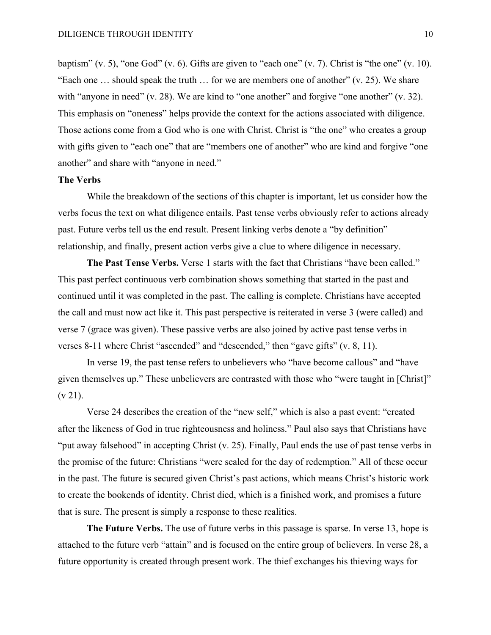baptism" (v. 5), "one God" (v. 6). Gifts are given to "each one" (v. 7). Christ is "the one" (v. 10). "Each one … should speak the truth … for we are members one of another" (v. 25). We share with "anyone in need" (v. 28). We are kind to "one another" and forgive "one another" (v. 32). This emphasis on "oneness" helps provide the context for the actions associated with diligence. Those actions come from a God who is one with Christ. Christ is "the one" who creates a group with gifts given to "each one" that are "members one of another" who are kind and forgive "one another" and share with "anyone in need."

### **The Verbs**

While the breakdown of the sections of this chapter is important, let us consider how the verbs focus the text on what diligence entails. Past tense verbs obviously refer to actions already past. Future verbs tell us the end result. Present linking verbs denote a "by definition" relationship, and finally, present action verbs give a clue to where diligence in necessary.

**The Past Tense Verbs.** Verse 1 starts with the fact that Christians "have been called." This past perfect continuous verb combination shows something that started in the past and continued until it was completed in the past. The calling is complete. Christians have accepted the call and must now act like it. This past perspective is reiterated in verse 3 (were called) and verse 7 (grace was given). These passive verbs are also joined by active past tense verbs in verses 8-11 where Christ "ascended" and "descended," then "gave gifts" (v. 8, 11).

In verse 19, the past tense refers to unbelievers who "have become callous" and "have given themselves up." These unbelievers are contrasted with those who "were taught in [Christ]"  $(v 21)$ .

Verse 24 describes the creation of the "new self," which is also a past event: "created after the likeness of God in true righteousness and holiness." Paul also says that Christians have "put away falsehood" in accepting Christ (v. 25). Finally, Paul ends the use of past tense verbs in the promise of the future: Christians "were sealed for the day of redemption." All of these occur in the past. The future is secured given Christ's past actions, which means Christ's historic work to create the bookends of identity. Christ died, which is a finished work, and promises a future that is sure. The present is simply a response to these realities.

**The Future Verbs.** The use of future verbs in this passage is sparse. In verse 13, hope is attached to the future verb "attain" and is focused on the entire group of believers. In verse 28, a future opportunity is created through present work. The thief exchanges his thieving ways for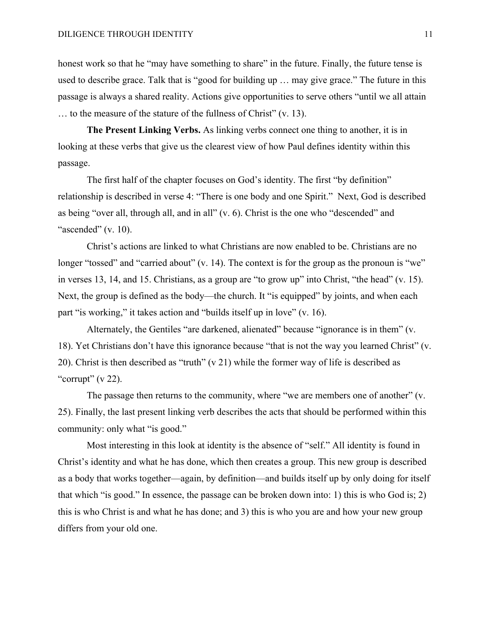honest work so that he "may have something to share" in the future. Finally, the future tense is used to describe grace. Talk that is "good for building up … may give grace." The future in this passage is always a shared reality. Actions give opportunities to serve others "until we all attain … to the measure of the stature of the fullness of Christ" (v. 13).

**The Present Linking Verbs.** As linking verbs connect one thing to another, it is in looking at these verbs that give us the clearest view of how Paul defines identity within this passage.

The first half of the chapter focuses on God's identity. The first "by definition" relationship is described in verse 4: "There is one body and one Spirit." Next, God is described as being "over all, through all, and in all" (v. 6). Christ is the one who "descended" and "ascended"  $(v. 10)$ .

Christ's actions are linked to what Christians are now enabled to be. Christians are no longer "tossed" and "carried about" (v. 14). The context is for the group as the pronoun is "we" in verses 13, 14, and 15. Christians, as a group are "to grow up" into Christ, "the head" (v. 15). Next, the group is defined as the body—the church. It "is equipped" by joints, and when each part "is working," it takes action and "builds itself up in love" (v. 16).

Alternately, the Gentiles "are darkened, alienated" because "ignorance is in them" (v. 18). Yet Christians don't have this ignorance because "that is not the way you learned Christ" (v. 20). Christ is then described as "truth" (v 21) while the former way of life is described as "corrupt"  $(v 22)$ .

The passage then returns to the community, where "we are members one of another" (v. 25). Finally, the last present linking verb describes the acts that should be performed within this community: only what "is good."

Most interesting in this look at identity is the absence of "self." All identity is found in Christ's identity and what he has done, which then creates a group. This new group is described as a body that works together—again, by definition—and builds itself up by only doing for itself that which "is good." In essence, the passage can be broken down into: 1) this is who God is; 2) this is who Christ is and what he has done; and 3) this is who you are and how your new group differs from your old one.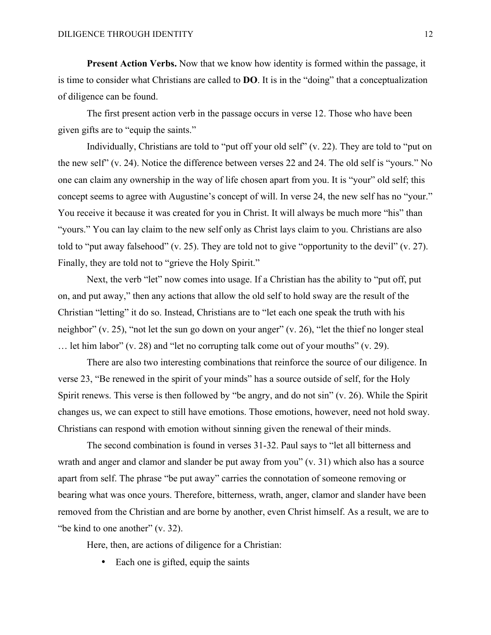**Present Action Verbs.** Now that we know how identity is formed within the passage, it is time to consider what Christians are called to **DO**. It is in the "doing" that a conceptualization of diligence can be found.

The first present action verb in the passage occurs in verse 12. Those who have been given gifts are to "equip the saints."

Individually, Christians are told to "put off your old self" (v. 22). They are told to "put on the new self" (v. 24). Notice the difference between verses 22 and 24. The old self is "yours." No one can claim any ownership in the way of life chosen apart from you. It is "your" old self; this concept seems to agree with Augustine's concept of will. In verse 24, the new self has no "your." You receive it because it was created for you in Christ. It will always be much more "his" than "yours." You can lay claim to the new self only as Christ lays claim to you. Christians are also told to "put away falsehood" (v. 25). They are told not to give "opportunity to the devil" (v. 27). Finally, they are told not to "grieve the Holy Spirit."

Next, the verb "let" now comes into usage. If a Christian has the ability to "put off, put on, and put away," then any actions that allow the old self to hold sway are the result of the Christian "letting" it do so. Instead, Christians are to "let each one speak the truth with his neighbor" (v. 25), "not let the sun go down on your anger" (v. 26), "let the thief no longer steal … let him labor" (v. 28) and "let no corrupting talk come out of your mouths" (v. 29).

There are also two interesting combinations that reinforce the source of our diligence. In verse 23, "Be renewed in the spirit of your minds" has a source outside of self, for the Holy Spirit renews. This verse is then followed by "be angry, and do not sin" (v. 26). While the Spirit changes us, we can expect to still have emotions. Those emotions, however, need not hold sway. Christians can respond with emotion without sinning given the renewal of their minds.

The second combination is found in verses 31-32. Paul says to "let all bitterness and wrath and anger and clamor and slander be put away from you" (v. 31) which also has a source apart from self. The phrase "be put away" carries the connotation of someone removing or bearing what was once yours. Therefore, bitterness, wrath, anger, clamor and slander have been removed from the Christian and are borne by another, even Christ himself. As a result, we are to "be kind to one another" (v. 32).

Here, then, are actions of diligence for a Christian:

• Each one is gifted, equip the saints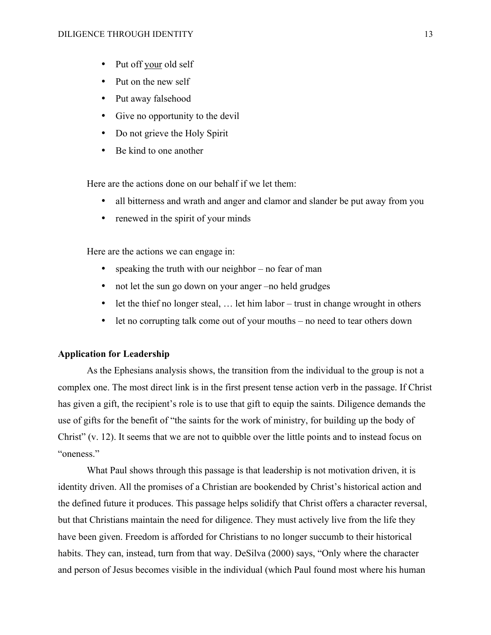- Put off your old self
- Put on the new self
- Put away falsehood
- Give no opportunity to the devil
- Do not grieve the Holy Spirit
- Be kind to one another

Here are the actions done on our behalf if we let them:

- all bitterness and wrath and anger and clamor and slander be put away from you
- renewed in the spirit of your minds

Here are the actions we can engage in:

- speaking the truth with our neighbor no fear of man
- not let the sun go down on your anger –no held grudges
- let the thief no longer steal, ... let him labor trust in change wrought in others
- let no corrupting talk come out of your mouths no need to tear others down

### **Application for Leadership**

As the Ephesians analysis shows, the transition from the individual to the group is not a complex one. The most direct link is in the first present tense action verb in the passage. If Christ has given a gift, the recipient's role is to use that gift to equip the saints. Diligence demands the use of gifts for the benefit of "the saints for the work of ministry, for building up the body of Christ" (v. 12). It seems that we are not to quibble over the little points and to instead focus on "oneness."

What Paul shows through this passage is that leadership is not motivation driven, it is identity driven. All the promises of a Christian are bookended by Christ's historical action and the defined future it produces. This passage helps solidify that Christ offers a character reversal, but that Christians maintain the need for diligence. They must actively live from the life they have been given. Freedom is afforded for Christians to no longer succumb to their historical habits. They can, instead, turn from that way. DeSilva (2000) says, "Only where the character and person of Jesus becomes visible in the individual (which Paul found most where his human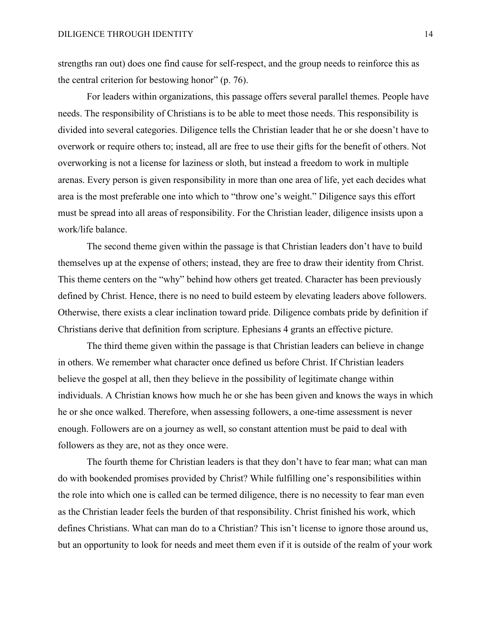strengths ran out) does one find cause for self-respect, and the group needs to reinforce this as the central criterion for bestowing honor" (p. 76).

For leaders within organizations, this passage offers several parallel themes. People have needs. The responsibility of Christians is to be able to meet those needs. This responsibility is divided into several categories. Diligence tells the Christian leader that he or she doesn't have to overwork or require others to; instead, all are free to use their gifts for the benefit of others. Not overworking is not a license for laziness or sloth, but instead a freedom to work in multiple arenas. Every person is given responsibility in more than one area of life, yet each decides what area is the most preferable one into which to "throw one's weight." Diligence says this effort must be spread into all areas of responsibility. For the Christian leader, diligence insists upon a work/life balance.

The second theme given within the passage is that Christian leaders don't have to build themselves up at the expense of others; instead, they are free to draw their identity from Christ. This theme centers on the "why" behind how others get treated. Character has been previously defined by Christ. Hence, there is no need to build esteem by elevating leaders above followers. Otherwise, there exists a clear inclination toward pride. Diligence combats pride by definition if Christians derive that definition from scripture. Ephesians 4 grants an effective picture.

The third theme given within the passage is that Christian leaders can believe in change in others. We remember what character once defined us before Christ. If Christian leaders believe the gospel at all, then they believe in the possibility of legitimate change within individuals. A Christian knows how much he or she has been given and knows the ways in which he or she once walked. Therefore, when assessing followers, a one-time assessment is never enough. Followers are on a journey as well, so constant attention must be paid to deal with followers as they are, not as they once were.

The fourth theme for Christian leaders is that they don't have to fear man; what can man do with bookended promises provided by Christ? While fulfilling one's responsibilities within the role into which one is called can be termed diligence, there is no necessity to fear man even as the Christian leader feels the burden of that responsibility. Christ finished his work, which defines Christians. What can man do to a Christian? This isn't license to ignore those around us, but an opportunity to look for needs and meet them even if it is outside of the realm of your work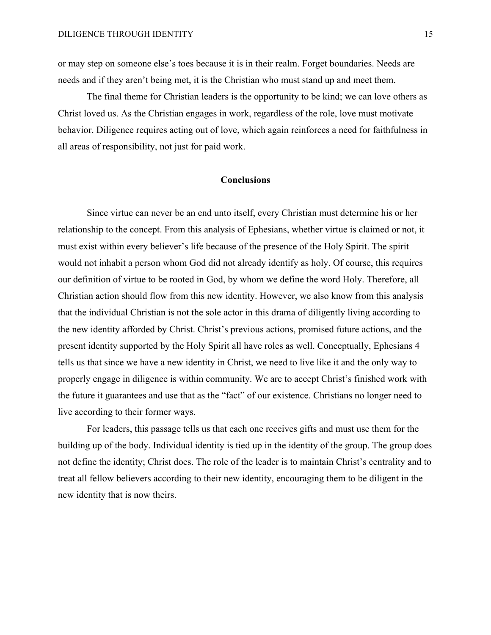or may step on someone else's toes because it is in their realm. Forget boundaries. Needs are needs and if they aren't being met, it is the Christian who must stand up and meet them.

The final theme for Christian leaders is the opportunity to be kind; we can love others as Christ loved us. As the Christian engages in work, regardless of the role, love must motivate behavior. Diligence requires acting out of love, which again reinforces a need for faithfulness in all areas of responsibility, not just for paid work.

## **Conclusions**

Since virtue can never be an end unto itself, every Christian must determine his or her relationship to the concept. From this analysis of Ephesians, whether virtue is claimed or not, it must exist within every believer's life because of the presence of the Holy Spirit. The spirit would not inhabit a person whom God did not already identify as holy. Of course, this requires our definition of virtue to be rooted in God, by whom we define the word Holy. Therefore, all Christian action should flow from this new identity. However, we also know from this analysis that the individual Christian is not the sole actor in this drama of diligently living according to the new identity afforded by Christ. Christ's previous actions, promised future actions, and the present identity supported by the Holy Spirit all have roles as well. Conceptually, Ephesians 4 tells us that since we have a new identity in Christ, we need to live like it and the only way to properly engage in diligence is within community. We are to accept Christ's finished work with the future it guarantees and use that as the "fact" of our existence. Christians no longer need to live according to their former ways.

For leaders, this passage tells us that each one receives gifts and must use them for the building up of the body. Individual identity is tied up in the identity of the group. The group does not define the identity; Christ does. The role of the leader is to maintain Christ's centrality and to treat all fellow believers according to their new identity, encouraging them to be diligent in the new identity that is now theirs.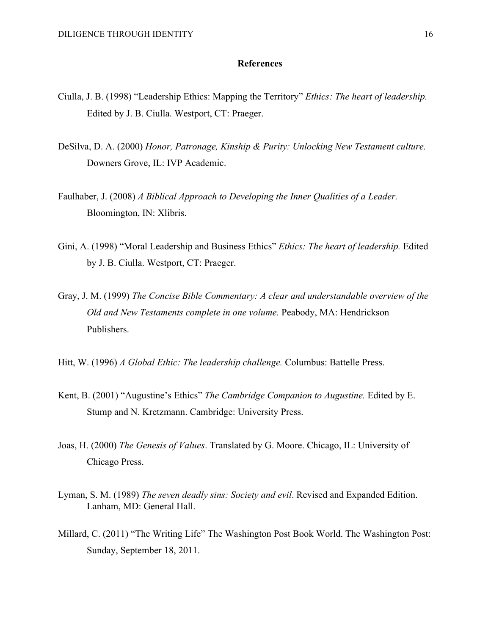### **References**

- Ciulla, J. B. (1998) "Leadership Ethics: Mapping the Territory" *Ethics: The heart of leadership.*  Edited by J. B. Ciulla. Westport, CT: Praeger.
- DeSilva, D. A. (2000) *Honor, Patronage, Kinship & Purity: Unlocking New Testament culture.*  Downers Grove, IL: IVP Academic.
- Faulhaber, J. (2008) *A Biblical Approach to Developing the Inner Qualities of a Leader.* Bloomington, IN: Xlibris.
- Gini, A. (1998) "Moral Leadership and Business Ethics" *Ethics: The heart of leadership.* Edited by J. B. Ciulla. Westport, CT: Praeger.
- Gray, J. M. (1999) *The Concise Bible Commentary: A clear and understandable overview of the Old and New Testaments complete in one volume.* Peabody, MA: Hendrickson Publishers.
- Hitt, W. (1996) *A Global Ethic: The leadership challenge.* Columbus: Battelle Press.
- Kent, B. (2001) "Augustine's Ethics" *The Cambridge Companion to Augustine.* Edited by E. Stump and N. Kretzmann. Cambridge: University Press.
- Joas, H. (2000) *The Genesis of Values*. Translated by G. Moore. Chicago, IL: University of Chicago Press.
- Lyman, S. M. (1989) *The seven deadly sins: Society and evil*. Revised and Expanded Edition. Lanham, MD: General Hall.
- Millard, C. (2011) "The Writing Life" The Washington Post Book World. The Washington Post: Sunday, September 18, 2011.